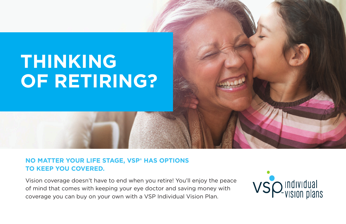## **THINKING OF RETIRING?**

## **NO MATTER YOUR LIFE STAGE, VSP® HAS OPTIONS TO KEEP YOU COVERED.**

Vision coverage doesn't have to end when you retire! You'll enjoy the peace of mind that comes with keeping your eye doctor and saving money with coverage you can buy on your own with a VSP Individual Vision Plan.